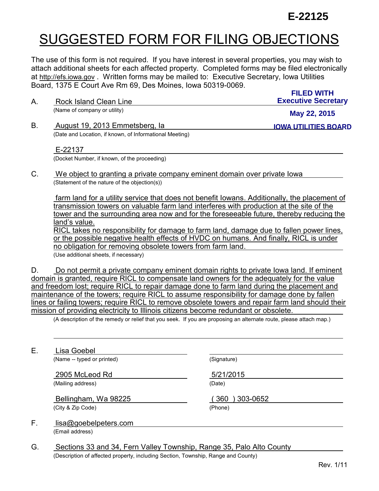## **E-22125**

## SUGGESTED FORM FOR FILING OBJECTIONS

The use of this form is not required. If you have interest in several properties, you may wish to attach additional sheets for each affected property. Completed forms may be filed electronically at [http://efs.iowa.gov](http://efs.iowa.gov/) . Written forms may be mailed to: Executive Secretary, Iowa Utilities Board, 1375 E Court Ave Rm 69, Des Moines, Iowa 50319-0069.

| Α. | Rock Island Clean Line                                  | <b>FILED WITH</b><br><b>Executive Secretary</b> |
|----|---------------------------------------------------------|-------------------------------------------------|
|    | (Name of company or utility)                            | May 22, 2015                                    |
| B. | August 19, 2013 Emmetsberg, la                          | <b>IOWA UTILITIES BOARD</b>                     |
|    | (Date and Location, if known, of Informational Meeting) |                                                 |

## E-22137

(Docket Number, if known, of the proceeding)

C. We object to granting a private company eminent domain over private Iowa (Statement of the nature of the objection(s))

 farm land for a utility service that does not benefit Iowans. Additionally, the placement of transmission towers on valuable farm land interferes with production at the site of the tower and the surrounding area now and for the foreseeable future, thereby reducing the land's value.

RICL takes no responsibility for damage to farm land, damage due to fallen power lines, or the possible negative health effects of HVDC on humans. And finally, RICL is under no obligation for removing obsolete towers from farm land.

(Use additional sheets, if necessary)

D. Do not permit a private company eminent domain rights to private Iowa land. If eminent domain is granted, require RICL to compensate land owners for the adequately for the value and freedom lost; require RICL to repair damage done to farm land during the placement and maintenance of the towers; require RICL to assume responsibility for damage done by fallen lines or failing towers; require RICL to remove obsolete towers and repair farm land should their mission of providing electricity to Illinois citizens become redundant or obsolete.

(A description of the remedy or relief that you seek. If you are proposing an alternate route, please attach map.)

E. Lisa Goebel

 $\ddot{\phantom{a}}$ 

(Name -- typed or printed) (Signature)

2905 McLeod Rd 5/21/2015 (Mailing address) (Date)

 Bellingham, Wa 98225 ( 360 ) 303-0652 (City & Zip Code) (Phone)

- F. lisa@goebelpeters.com (Email address)
- G. Sections 33 and 34, Fern Valley Township, Range 35, Palo Alto County (Description of affected property, including Section, Township, Range and County)